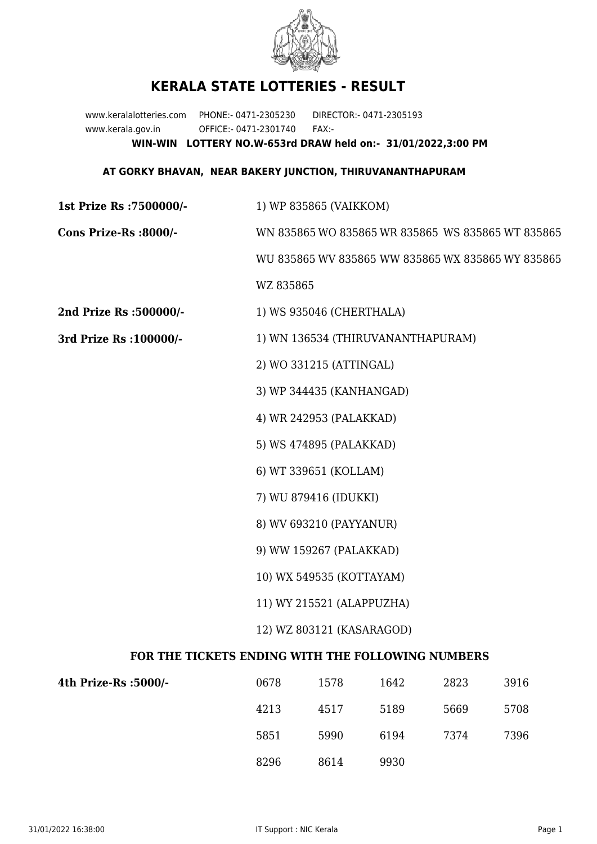

## **KERALA STATE LOTTERIES - RESULT**

www.keralalotteries.com PHONE:- 0471-2305230 DIRECTOR:- 0471-2305193 www.kerala.gov.in OFFICE:- 0471-2301740 FAX:- **WIN-WIN LOTTERY NO.W-653rd DRAW held on:- 31/01/2022,3:00 PM**

## **AT GORKY BHAVAN, NEAR BAKERY JUNCTION, THIRUVANANTHAPURAM**

**1st Prize Rs :7500000/-** 1) WP 835865 (VAIKKOM) **Cons Prize-Rs :8000/-** WN 835865 WO 835865 WR 835865 WS 835865 WT 835865 WU 835865 WV 835865 WW 835865 WX 835865 WY 835865 WZ 835865 **2nd Prize Rs :500000/-** 1) WS 935046 (CHERTHALA) **3rd Prize Rs :100000/-** 1) WN 136534 (THIRUVANANTHAPURAM) 2) WO 331215 (ATTINGAL) 3) WP 344435 (KANHANGAD) 4) WR 242953 (PALAKKAD) 5) WS 474895 (PALAKKAD) 6) WT 339651 (KOLLAM) 7) WU 879416 (IDUKKI) 8) WV 693210 (PAYYANUR) 9) WW 159267 (PALAKKAD) 10) WX 549535 (KOTTAYAM) 11) WY 215521 (ALAPPUZHA) 12) WZ 803121 (KASARAGOD) **FOR THE TICKETS ENDING WITH THE FOLLOWING NUMBERS**

| 4th Prize-Rs :5000/- | 0678 | 1578 | 1642 | 2823 | 3916 |
|----------------------|------|------|------|------|------|
|                      | 4213 | 4517 | 5189 | 5669 | 5708 |
|                      | 5851 | 5990 | 6194 | 7374 | 7396 |
|                      | 8296 | 8614 | 9930 |      |      |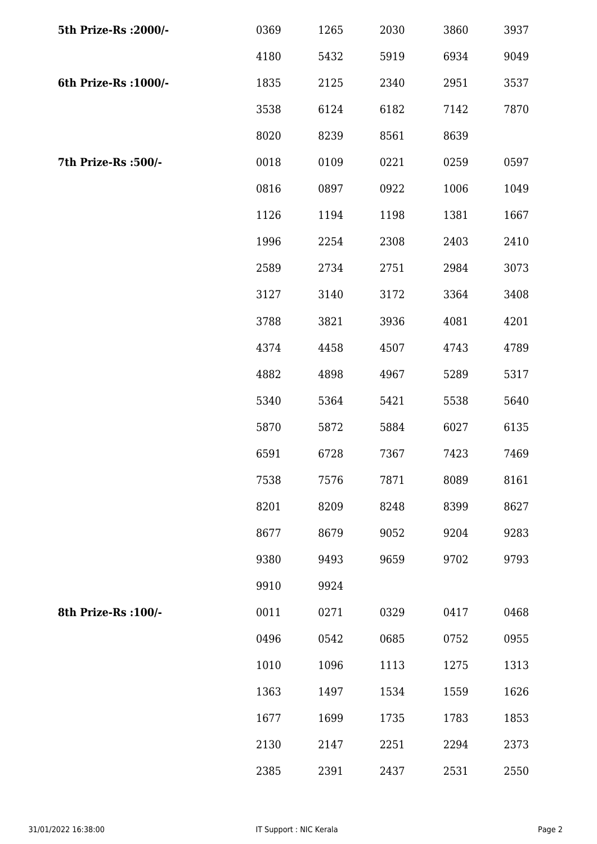| 5th Prize-Rs : 2000/- | 0369 | 1265 | 2030 | 3860 | 3937 |
|-----------------------|------|------|------|------|------|
|                       | 4180 | 5432 | 5919 | 6934 | 9049 |
| 6th Prize-Rs : 1000/- | 1835 | 2125 | 2340 | 2951 | 3537 |
|                       | 3538 | 6124 | 6182 | 7142 | 7870 |
|                       | 8020 | 8239 | 8561 | 8639 |      |
| 7th Prize-Rs :500/-   | 0018 | 0109 | 0221 | 0259 | 0597 |
|                       | 0816 | 0897 | 0922 | 1006 | 1049 |
|                       | 1126 | 1194 | 1198 | 1381 | 1667 |
|                       | 1996 | 2254 | 2308 | 2403 | 2410 |
|                       | 2589 | 2734 | 2751 | 2984 | 3073 |
|                       | 3127 | 3140 | 3172 | 3364 | 3408 |
|                       | 3788 | 3821 | 3936 | 4081 | 4201 |
|                       | 4374 | 4458 | 4507 | 4743 | 4789 |
|                       | 4882 | 4898 | 4967 | 5289 | 5317 |
|                       | 5340 | 5364 | 5421 | 5538 | 5640 |
|                       | 5870 | 5872 | 5884 | 6027 | 6135 |
|                       | 6591 | 6728 | 7367 | 7423 | 7469 |
|                       | 7538 | 7576 | 7871 | 8089 | 8161 |
|                       | 8201 | 8209 | 8248 | 8399 | 8627 |
|                       | 8677 | 8679 | 9052 | 9204 | 9283 |
|                       | 9380 | 9493 | 9659 | 9702 | 9793 |
|                       | 9910 | 9924 |      |      |      |
| 8th Prize-Rs : 100/-  | 0011 | 0271 | 0329 | 0417 | 0468 |
|                       | 0496 | 0542 | 0685 | 0752 | 0955 |
|                       | 1010 | 1096 | 1113 | 1275 | 1313 |
|                       | 1363 | 1497 | 1534 | 1559 | 1626 |
|                       | 1677 | 1699 | 1735 | 1783 | 1853 |
|                       | 2130 | 2147 | 2251 | 2294 | 2373 |
|                       | 2385 | 2391 | 2437 | 2531 | 2550 |